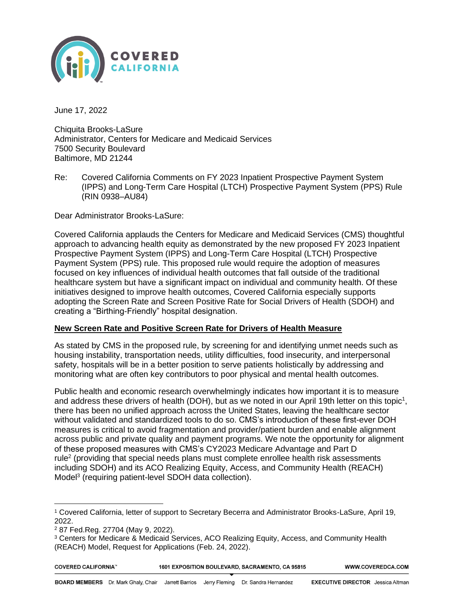

June 17, 2022

Chiquita Brooks-LaSure Administrator, Centers for Medicare and Medicaid Services 7500 Security Boulevard Baltimore, MD 21244

Re: Covered California Comments on FY 2023 Inpatient Prospective Payment System (IPPS) and Long-Term Care Hospital (LTCH) Prospective Payment System (PPS) Rule (RIN 0938–AU84)

Dear Administrator Brooks-LaSure:

Covered California applauds the Centers for Medicare and Medicaid Services (CMS) thoughtful approach to advancing health equity as demonstrated by the new proposed FY 2023 Inpatient Prospective Payment System (IPPS) and Long-Term Care Hospital (LTCH) Prospective Payment System (PPS) rule. This proposed rule would require the adoption of measures focused on key influences of individual health outcomes that fall outside of the traditional healthcare system but have a significant impact on individual and community health. Of these initiatives designed to improve health outcomes, Covered California especially supports adopting the Screen Rate and Screen Positive Rate for Social Drivers of Health (SDOH) and creating a "Birthing-Friendly" hospital designation.

## **New Screen Rate and Positive Screen Rate for Drivers of Health Measure**

As stated by CMS in the proposed rule, by screening for and identifying unmet needs such as housing instability, transportation needs, utility difficulties, food insecurity, and interpersonal safety, hospitals will be in a better position to serve patients holistically by addressing and monitoring what are often key contributors to poor physical and mental health outcomes.

Public health and economic research overwhelmingly indicates how important it is to measure and address these drivers of health (DOH), but as we noted in our April 19th letter on this topic<sup>1</sup>, there has been no unified approach across the United States, leaving the healthcare sector without validated and standardized tools to do so. CMS's introduction of these first-ever DOH measures is critical to avoid fragmentation and provider/patient burden and enable alignment across public and private quality and payment programs. We note the opportunity for alignment of these proposed measures with CMS's CY2023 Medicare Advantage and Part D rule<sup>2</sup> (providing that special needs plans must complete enrollee health risk assessments including SDOH) and its ACO Realizing Equity, Access, and Community Health (REACH) Model<sup>3</sup> (requiring patient-level SDOH data collection).

<sup>3</sup> Centers for Medicare & Medicaid Services, ACO Realizing Equity, Access, and Community Health (REACH) Model, Request for Applications (Feb. 24, 2022).

| <b>COVERED CALIFORNIA</b> |  |  |
|---------------------------|--|--|
|                           |  |  |

WWW.COVEREDCA.COM

<sup>1</sup> Covered California, letter of support to Secretary Becerra and Administrator Brooks-LaSure, April 19, 2022.

<sup>2</sup> 87 Fed.Reg. 27704 (May 9, 2022).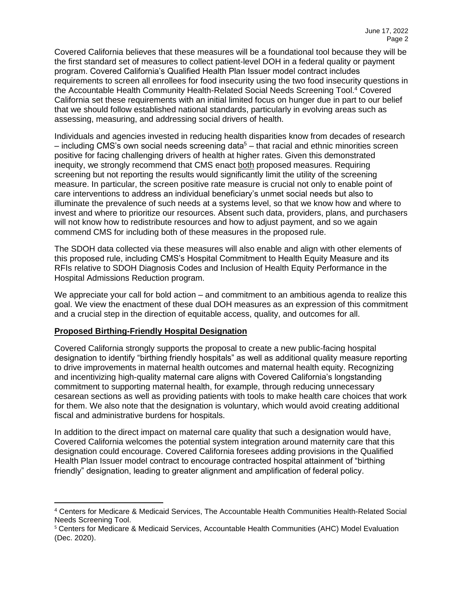Covered California believes that these measures will be a foundational tool because they will be the first standard set of measures to collect patient-level DOH in a federal quality or payment program. Covered California's Qualified Health Plan Issuer model contract includes requirements to screen all enrollees for food insecurity using the two food insecurity questions in the Accountable Health Community Health-Related Social Needs Screening Tool.<sup>4</sup> Covered California set these requirements with an initial limited focus on hunger due in part to our belief that we should follow established national standards, particularly in evolving areas such as assessing, measuring, and addressing social drivers of health.

Individuals and agencies invested in reducing health disparities know from decades of research  $-$  including CMS's own social needs screening data<sup>5</sup>  $-$  that racial and ethnic minorities screen positive for facing challenging drivers of health at higher rates. Given this demonstrated inequity, we strongly recommend that CMS enact both proposed measures. Requiring screening but not reporting the results would significantly limit the utility of the screening measure. In particular, the screen positive rate measure is crucial not only to enable point of care interventions to address an individual beneficiary's unmet social needs but also to illuminate the prevalence of such needs at a systems level, so that we know how and where to invest and where to prioritize our resources. Absent such data, providers, plans, and purchasers will not know how to redistribute resources and how to adjust payment, and so we again commend CMS for including both of these measures in the proposed rule.

The SDOH data collected via these measures will also enable and align with other elements of this proposed rule, including CMS's Hospital Commitment to Health Equity Measure and its RFIs relative to SDOH Diagnosis Codes and Inclusion of Health Equity Performance in the Hospital Admissions Reduction program.

We appreciate your call for bold action – and commitment to an ambitious agenda to realize this goal. We view the enactment of these dual DOH measures as an expression of this commitment and a crucial step in the direction of equitable access, quality, and outcomes for all.

## **Proposed Birthing-Friendly Hospital Designation**

Covered California strongly supports the proposal to create a new public-facing hospital designation to identify "birthing friendly hospitals" as well as additional quality measure reporting to drive improvements in maternal health outcomes and maternal health equity. Recognizing and incentivizing high-quality maternal care aligns with Covered California's longstanding commitment to supporting maternal health, for example, through reducing unnecessary cesarean sections as well as providing patients with tools to make health care choices that work for them. We also note that the designation is voluntary, which would avoid creating additional fiscal and administrative burdens for hospitals.

In addition to the direct impact on maternal care quality that such a designation would have, Covered California welcomes the potential system integration around maternity care that this designation could encourage. Covered California foresees adding provisions in the Qualified Health Plan Issuer model contract to encourage contracted hospital attainment of "birthing friendly" designation, leading to greater alignment and amplification of federal policy.

<sup>4</sup> Centers for Medicare & Medicaid Services, The Accountable Health Communities Health-Related Social Needs Screening Tool.

<sup>5</sup> Centers for Medicare & Medicaid Services, Accountable Health Communities (AHC) Model Evaluation (Dec. 2020).